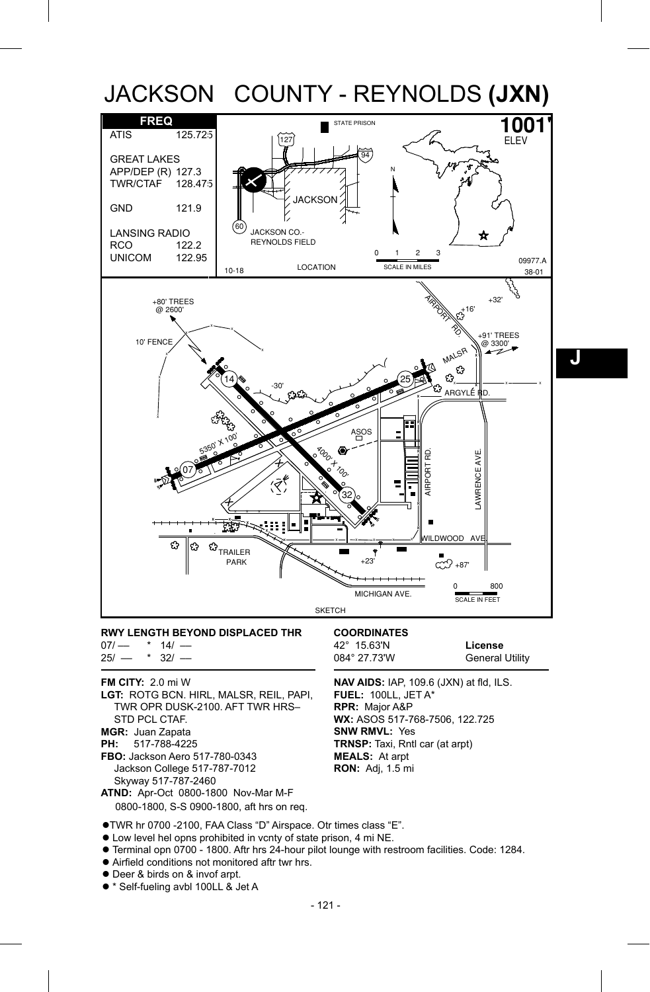

 $07/-$  \*  $14/-$ <br> $25/-$  \*  $32/ *32/ -$ 

## **FM CITY:** 2.0 mi W

- **LGT:** ROTG BCN. HIRL, MALSR, REIL, PAPI, TWR OPR DUSK-2100. AFT TWR HRS– STD PCL CTAF. **MGR:** Juan Zapata<br>**PH:** 517-788-422 **PH:** 517-788-4225
- 
- **FBO:** Jackson Aero 517-780-0343 Jackson College 517-787-7012 Skyway 517-787-2460
- **ATND:** Apr-Oct 0800-1800 Nov-Mar M-F 0800-1800, S-S 0900-1800, aft hrs on req.

42° 15.63'N **License**

**General Utility** 

**NAV AIDS:** IAP, 109.6 (JXN) at fld, ILS. **FUEL:** 100LL, JET A\* **RPR:** Major A&P **WX:** ASOS 517-768-7506, 122.725 **SNW RMVL:** Yes **TRNSP:** Taxi, Rntl car (at arpt) **MEALS:** At arpt **RON:** Adj, 1.5 mi

- TWR hr 0700 -2100, FAA Class "D" Airspace. Otr times class "E".
- Low level hel opns prohibited in vcnty of state prison, 4 mi NE.
- Terminal opn 0700 1800. Aftr hrs 24-hour pilot lounge with restroom facilities. Code: 1284.
- Airfield conditions not monitored aftr twr hrs.
- Deer & birds on & invof arpt.
- \* Self-fueling avbl 100LL & Jet A